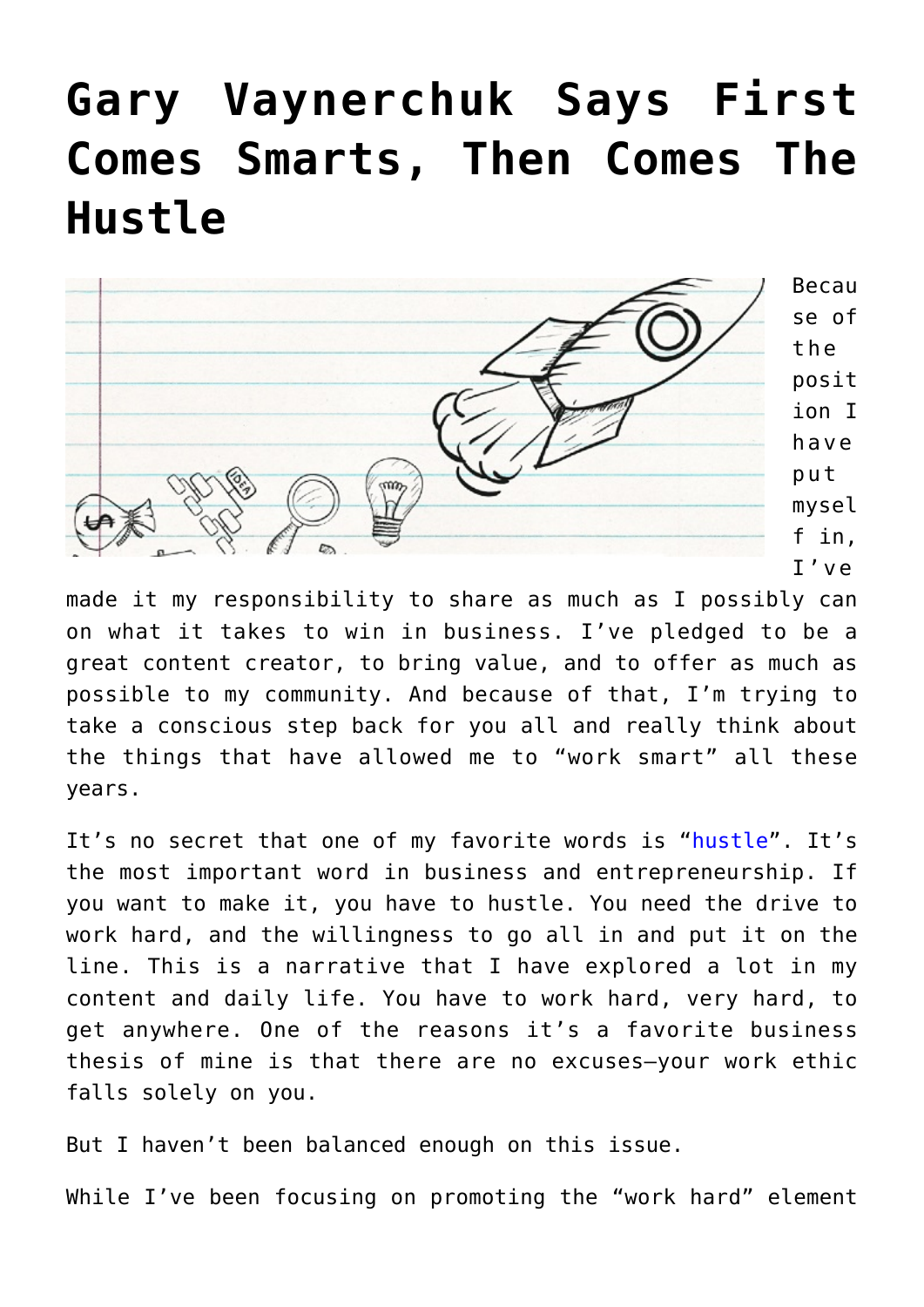## **[Gary Vaynerchuk Says First](https://www.commpro.biz/gary-vaynerchuk-says-first-comes-smarts-then-comes-the-hustle/) [Comes Smarts, Then Comes The](https://www.commpro.biz/gary-vaynerchuk-says-first-comes-smarts-then-comes-the-hustle/) [Hustle](https://www.commpro.biz/gary-vaynerchuk-says-first-comes-smarts-then-comes-the-hustle/)**



made it my responsibility to share as much as I possibly can on what it takes to win in business. I've pledged to be a great content creator, to bring value, and to offer as much as possible to my community. And because of that, I'm trying to take a conscious step back for you all and really think about the things that have allowed me to "work smart" all these years.

It's no secret that one of my favorite words is "[hustle](https://www.commpro.biz/the-askgaryvee-show-channel/)". It's the most important word in business and entrepreneurship. If you want to make it, you have to hustle. You need the drive to work hard, and the willingness to go all in and put it on the line. This is a narrative that I have explored a lot in my content and daily life. You have to work hard, very hard, to get anywhere. One of the reasons it's a favorite business thesis of mine is that there are no excuses—your work ethic falls solely on you.

But I haven't been balanced enough on this issue.

While I've been focusing on promoting the "work hard" element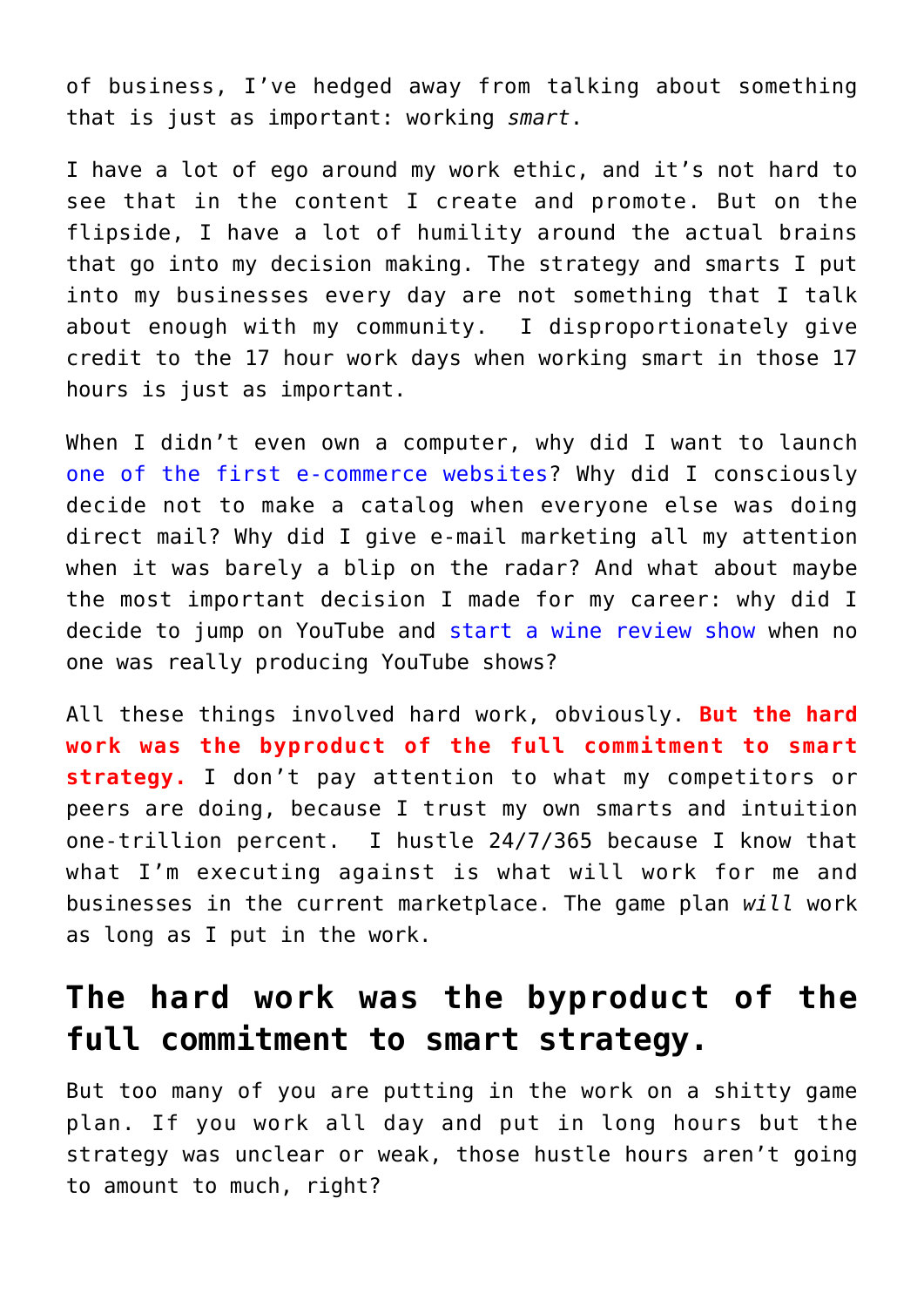of business, I've hedged away from talking about something that is just as important: working *smart*.

I have a lot of ego around my work ethic, and it's not hard to see that in the content I create and promote. But on the flipside, I have a lot of humility around the actual brains that go into my decision making. The strategy and smarts I put into my businesses every day are not something that I talk about enough with my community. I disproportionately give credit to the 17 hour work days when working smart in those 17 hours is just as important.

When I didn't even own a computer, why did I want to launch [one of the first e-commerce websites?](https://winelibrary.com/) Why did I consciously decide not to make a catalog when everyone else was doing direct mail? Why did I give e-mail marketing all my attention when it was barely a blip on the radar? And what about maybe the most important decision I made for my career: why did I decide to jump on YouTube and [start a wine review show](https://tv.winelibrary.com/) when no one was really producing YouTube shows?

All these things involved hard work, obviously. **But the hard work was the byproduct of the full commitment to smart strategy.** I don't pay attention to what my competitors or peers are doing, because I trust my own smarts and intuition one-trillion percent. I hustle 24/7/365 because I know that what I'm executing against is what will work for me and businesses in the current marketplace. The game plan *will* work as long as I put in the work.

## **The hard work was the byproduct of the full commitment to smart strategy.**

But too many of you are putting in the work on a shitty game plan. If you work all day and put in long hours but the strategy was unclear or weak, those hustle hours aren't going to amount to much, right?